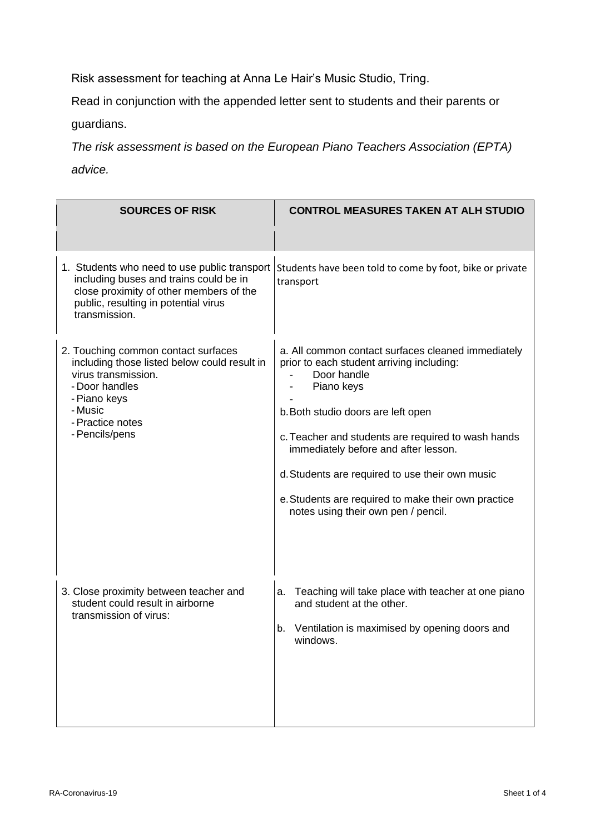Risk assessment for teaching at Anna Le Hair's Music Studio, Tring.

Read in conjunction with the appended letter sent to students and their parents or

guardians.

*The risk assessment is based on the European Piano Teachers Association (EPTA) advice.*

| <b>SOURCES OF RISK</b>                                                                                                                                                                        | <b>CONTROL MEASURES TAKEN AT ALH STUDIO</b>                                                                                                                                                                                                                                                                                                                                                                       |
|-----------------------------------------------------------------------------------------------------------------------------------------------------------------------------------------------|-------------------------------------------------------------------------------------------------------------------------------------------------------------------------------------------------------------------------------------------------------------------------------------------------------------------------------------------------------------------------------------------------------------------|
| 1. Students who need to use public transport<br>including buses and trains could be in<br>close proximity of other members of the<br>public, resulting in potential virus<br>transmission.    | Students have been told to come by foot, bike or private<br>transport                                                                                                                                                                                                                                                                                                                                             |
| 2. Touching common contact surfaces<br>including those listed below could result in<br>virus transmission.<br>- Door handles<br>- Piano keys<br>- Music<br>- Practice notes<br>- Pencils/pens | a. All common contact surfaces cleaned immediately<br>prior to each student arriving including:<br>Door handle<br>Piano keys<br>b. Both studio doors are left open<br>c. Teacher and students are required to wash hands<br>immediately before and after lesson.<br>d. Students are required to use their own music<br>e. Students are required to make their own practice<br>notes using their own pen / pencil. |
| 3. Close proximity between teacher and<br>student could result in airborne<br>transmission of virus:                                                                                          | Teaching will take place with teacher at one piano<br>а.<br>and student at the other.<br>Ventilation is maximised by opening doors and<br>b.<br>windows.                                                                                                                                                                                                                                                          |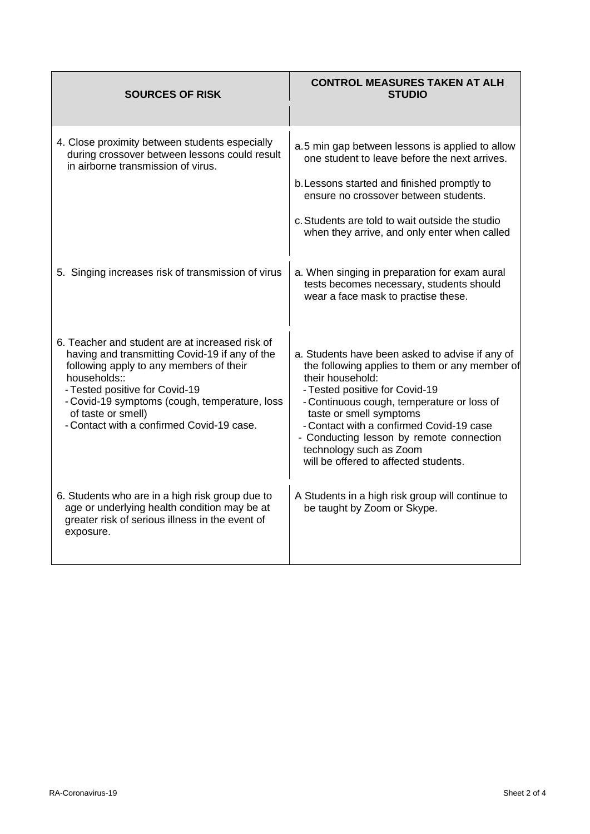| <b>SOURCES OF RISK</b>                                                                                                                                                                                                                                                                                             | <b>CONTROL MEASURES TAKEN AT ALH</b><br><b>STUDIO</b>                                                                                                                                                                                                                                                                                                                                        |
|--------------------------------------------------------------------------------------------------------------------------------------------------------------------------------------------------------------------------------------------------------------------------------------------------------------------|----------------------------------------------------------------------------------------------------------------------------------------------------------------------------------------------------------------------------------------------------------------------------------------------------------------------------------------------------------------------------------------------|
| 4. Close proximity between students especially<br>during crossover between lessons could result<br>in airborne transmission of virus.                                                                                                                                                                              | a.5 min gap between lessons is applied to allow<br>one student to leave before the next arrives.<br>b. Lessons started and finished promptly to<br>ensure no crossover between students.<br>c. Students are told to wait outside the studio<br>when they arrive, and only enter when called                                                                                                  |
| 5. Singing increases risk of transmission of virus                                                                                                                                                                                                                                                                 | a. When singing in preparation for exam aural<br>tests becomes necessary, students should<br>wear a face mask to practise these.                                                                                                                                                                                                                                                             |
| 6. Teacher and student are at increased risk of<br>having and transmitting Covid-19 if any of the<br>following apply to any members of their<br>households::<br>- Tested positive for Covid-19<br>- Covid-19 symptoms (cough, temperature, loss<br>of taste or smell)<br>- Contact with a confirmed Covid-19 case. | a. Students have been asked to advise if any of<br>the following applies to them or any member of<br>their household:<br>- Tested positive for Covid-19<br>- Continuous cough, temperature or loss of<br>taste or smell symptoms<br>- Contact with a confirmed Covid-19 case<br>- Conducting lesson by remote connection<br>technology such as Zoom<br>will be offered to affected students. |
| 6. Students who are in a high risk group due to<br>age or underlying health condition may be at<br>greater risk of serious illness in the event of<br>exposure.                                                                                                                                                    | A Students in a high risk group will continue to<br>be taught by Zoom or Skype.                                                                                                                                                                                                                                                                                                              |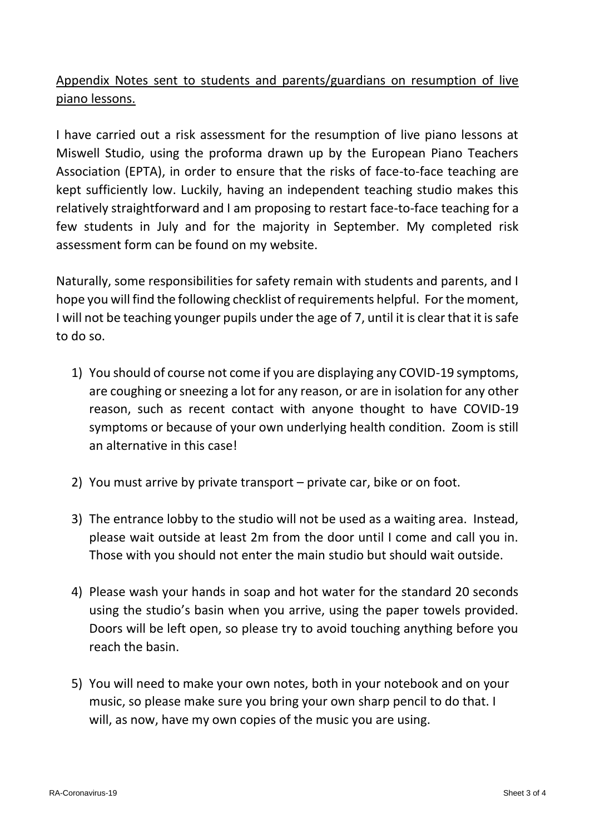Appendix Notes sent to students and parents/guardians on resumption of live piano lessons.

I have carried out a risk assessment for the resumption of live piano lessons at Miswell Studio, using the proforma drawn up by the European Piano Teachers Association (EPTA), in order to ensure that the risks of face-to-face teaching are kept sufficiently low. Luckily, having an independent teaching studio makes this relatively straightforward and I am proposing to restart face-to-face teaching for a few students in July and for the majority in September. My completed risk assessment form can be found on my website.

Naturally, some responsibilities for safety remain with students and parents, and I hope you will find the following checklist of requirements helpful. For the moment, I will not be teaching younger pupils under the age of 7, until it is clear that it is safe to do so.

- 1) You should of course not come if you are displaying any COVID-19 symptoms, are coughing or sneezing a lot for any reason, or are in isolation for any other reason, such as recent contact with anyone thought to have COVID-19 symptoms or because of your own underlying health condition. Zoom is still an alternative in this case!
- 2) You must arrive by private transport private car, bike or on foot.
- 3) The entrance lobby to the studio will not be used as a waiting area. Instead, please wait outside at least 2m from the door until I come and call you in. Those with you should not enter the main studio but should wait outside.
- 4) Please wash your hands in soap and hot water for the standard 20 seconds using the studio's basin when you arrive, using the paper towels provided. Doors will be left open, so please try to avoid touching anything before you reach the basin.
- 5) You will need to make your own notes, both in your notebook and on your music, so please make sure you bring your own sharp pencil to do that. I will, as now, have my own copies of the music you are using.